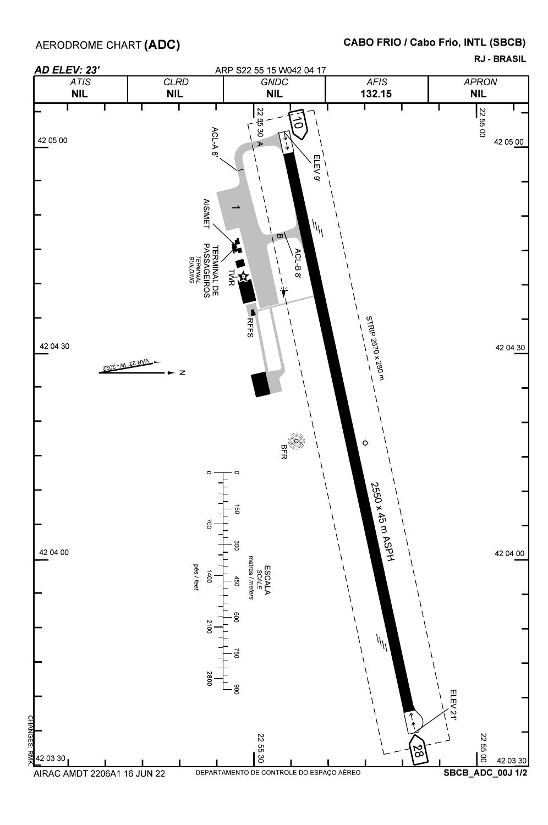AERODROME CHART **(ADC)** 

## CABO FRIO / Cabo Frio, INTL (SBCB)

RJ - BRASIL